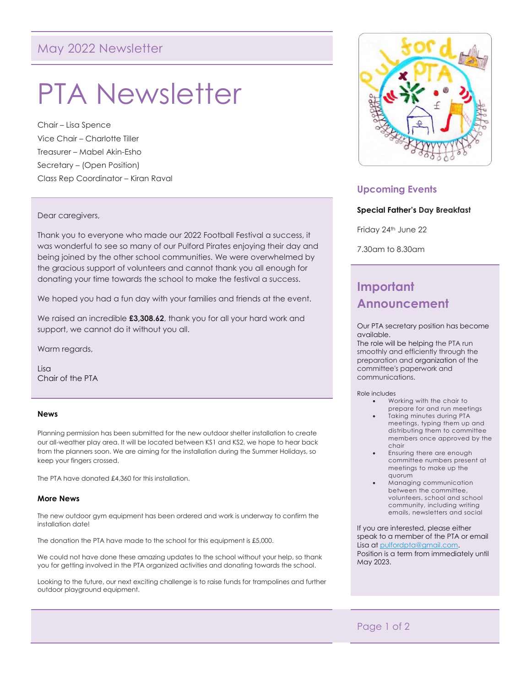# May 2022 Newsletter

# PTA Newsletter

Chair – Lisa Spence Vice Chair – Charlotte Tiller Treasurer – Mabel Akin-Esho Secretary – (Open Position) Class Rep Coordinator – Kiran Raval

#### Dear caregivers,

Thank you to everyone who made our 2022 Football Festival a success, it was wonderful to see so many of our Pulford Pirates enjoying their day and being joined by the other school communities. We were overwhelmed by the gracious support of volunteers and cannot thank you all enough for donating your time towards the school to make the festival a success.

We hoped you had a fun day with your families and friends at the event.

We raised an incredible **£3,308.62**, thank you for all your hard work and support, we cannot do it without you all.

Warm regards,

Lisa Chair of the PTA

#### **News**

Planning permission has been submitted for the new outdoor shelter installation to create our all-weather play area. It will be located between KS1 and KS2, we hope to hear back from the planners soon. We are aiming for the installation during the Summer Holidays, so keep your fingers crossed.

The PTA have donated £4,360 for this installation.

#### **More News**

The new outdoor gym equipment has been ordered and work is underway to confirm the installation date!

The donation the PTA have made to the school for this equipment is £5,000.

We could not have done these amazing updates to the school without your help, so thank you for getting involved in the PTA organized activities and donating towards the school.

Looking to the future, our next exciting challenge is to raise funds for trampolines and further outdoor playground equipment.



# **Upcoming Events**

#### **Special Father's Day Breakfast**

Friday 24<sup>th</sup> June 22

7.30am to 8.30am

# **Important Announcement**

Our PTA secretary position has become available.

The role will be helping the PTA run smoothly and efficiently through the preparation and organization of the committee's paperwork and communications.

Role includes

- Working with the chair to prepare for and run meetings
- Taking minutes during PTA meetings, typing them up and distributing them to committee members once approved by the chair
- Ensuring there are enough committee numbers present at meetings to make up the quorum
- Managing communication between the committee, volunteers, school and school community, including writing emails, newsletters and social

If you are interested, please either speak to a member of the PTA or email Lisa a[t pulfordpta@gmail.com.](mailto:pulfordpta@gmail.com) Position is a term from immediately until May 2023.

# Page 1 of 2